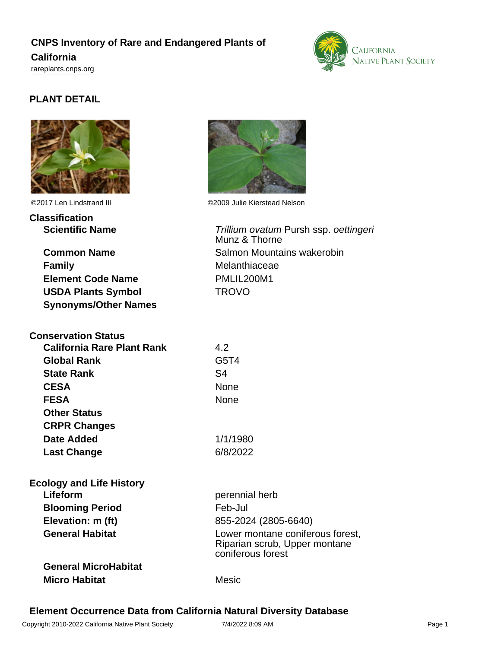# **CNPS Inventory of Rare and Endangered Plants of California** <rareplants.cnps.org>



# **PLANT DETAIL**



©2017 Len Lindstrand III ©2009 Julie Kierstead Nelson

**Classification Scientific Name** Trillium ovatum Pursh ssp. oettingeri

**Common Name** Salmon Mountains wakerobin **Family** Melanthiaceae **Element Code Name** PMLIL200M1 **USDA Plants Symbol** TROVO **Synonyms/Other Names**

| <b>Conservation Status</b> |          |
|----------------------------|----------|
| California Rare Plant Rank | 4.2      |
| <b>Global Rank</b>         | G5T4     |
| <b>State Rank</b>          | S4       |
| <b>CESA</b>                | None     |
| <b>FESA</b>                | None     |
| <b>Other Status</b>        |          |
| <b>CRPR Changes</b>        |          |
| <b>Date Added</b>          | 1/1/1980 |
| <b>Last Change</b>         | 6/8/2022 |

| <b>Ecology and Life History</b> |                                                                                        |
|---------------------------------|----------------------------------------------------------------------------------------|
| Lifeform                        | perennial herb                                                                         |
| <b>Blooming Period</b>          | Feb-Jul                                                                                |
| Elevation: m (ft)               | 855-2024 (2805-6640)                                                                   |
| <b>General Habitat</b>          | Lower montane coniferous forest,<br>Riparian scrub, Upper montane<br>coniferous forest |
| <b>General MicroHabitat</b>     |                                                                                        |
| <b>Micro Habitat</b>            | Mesic                                                                                  |



# **Element Occurrence Data from California Natural Diversity Database**

Munz & Thorne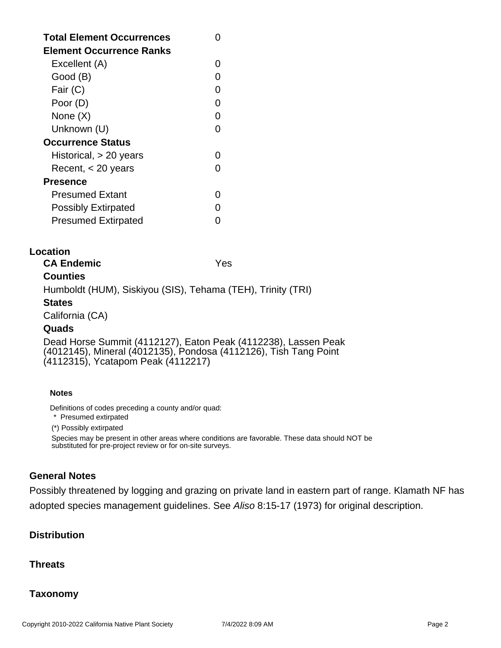| <b>Total Element Occurrences</b><br><b>Element Occurrence Ranks</b> |   |
|---------------------------------------------------------------------|---|
| Excellent (A)                                                       |   |
| Good (B)                                                            |   |
| Fair (C)                                                            | ∩ |
| Poor (D)                                                            | ∩ |
| None (X)                                                            |   |
| Unknown (U)                                                         |   |
| <b>Occurrence Status</b>                                            |   |
| Historical, $> 20$ years                                            |   |
| Recent, $<$ 20 years                                                |   |
| Presence                                                            |   |
| <b>Presumed Extant</b>                                              |   |
| <b>Possibly Extirpated</b>                                          |   |
| <b>Presumed Extirpated</b>                                          |   |

# **Location**

**CA Endemic** Yes **Counties**

Humboldt (HUM), Siskiyou (SIS), Tehama (TEH), Trinity (TRI)

# **States**

California (CA)

### **Quads**

Dead Horse Summit (4112127), Eaton Peak (4112238), Lassen Peak (4012145), Mineral (4012135), Pondosa (4112126), Tish Tang Point (4112315), Ycatapom Peak (4112217)

#### **Notes**

Definitions of codes preceding a county and/or quad:

\* Presumed extirpated

(\*) Possibly extirpated

Species may be present in other areas where conditions are favorable. These data should NOT be substituted for pre-project review or for on-site surveys.

# **General Notes**

Possibly threatened by logging and grazing on private land in eastern part of range. Klamath NF has adopted species management guidelines. See Aliso 8:15-17 (1973) for original description.

# **Distribution**

# **Threats**

# **Taxonomy**